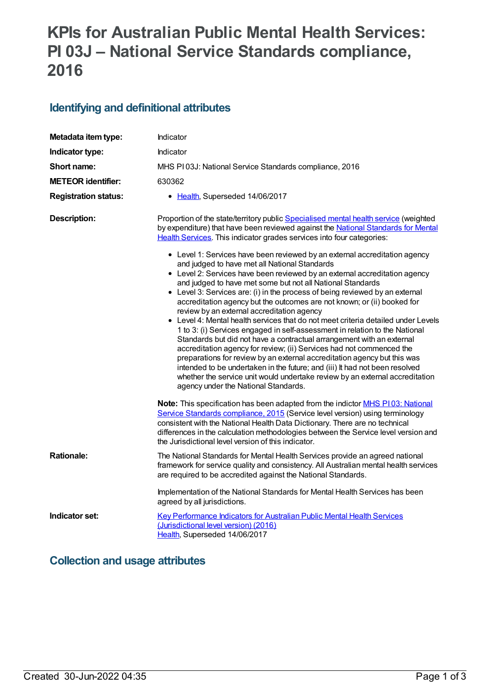# **KPIs for Australian Public Mental Health Services: PI 03J – National Service Standards compliance, 2016**

## **Identifying and definitional attributes**

| Metadata item type:         | Indicator                                                                                                                                                                                                                                                                                                                                                                                                                                                                                                                                                                                                                                                                                                                                                                                                                                                                                                                                                                                                                                                                                                                                                                                                                                                                                                                                      |
|-----------------------------|------------------------------------------------------------------------------------------------------------------------------------------------------------------------------------------------------------------------------------------------------------------------------------------------------------------------------------------------------------------------------------------------------------------------------------------------------------------------------------------------------------------------------------------------------------------------------------------------------------------------------------------------------------------------------------------------------------------------------------------------------------------------------------------------------------------------------------------------------------------------------------------------------------------------------------------------------------------------------------------------------------------------------------------------------------------------------------------------------------------------------------------------------------------------------------------------------------------------------------------------------------------------------------------------------------------------------------------------|
| Indicator type:             | <b>Indicator</b>                                                                                                                                                                                                                                                                                                                                                                                                                                                                                                                                                                                                                                                                                                                                                                                                                                                                                                                                                                                                                                                                                                                                                                                                                                                                                                                               |
| Short name:                 | MHS PI03J: National Service Standards compliance, 2016                                                                                                                                                                                                                                                                                                                                                                                                                                                                                                                                                                                                                                                                                                                                                                                                                                                                                                                                                                                                                                                                                                                                                                                                                                                                                         |
| <b>METEOR identifier:</b>   | 630362                                                                                                                                                                                                                                                                                                                                                                                                                                                                                                                                                                                                                                                                                                                                                                                                                                                                                                                                                                                                                                                                                                                                                                                                                                                                                                                                         |
| <b>Registration status:</b> | • Health, Superseded 14/06/2017                                                                                                                                                                                                                                                                                                                                                                                                                                                                                                                                                                                                                                                                                                                                                                                                                                                                                                                                                                                                                                                                                                                                                                                                                                                                                                                |
| <b>Description:</b>         | Proportion of the state/territory public Specialised mental health service (weighted<br>by expenditure) that have been reviewed against the National Standards for Mental<br>Health Services. This indicator grades services into four categories:<br>• Level 1: Services have been reviewed by an external accreditation agency<br>and judged to have met all National Standards<br>• Level 2: Services have been reviewed by an external accreditation agency<br>and judged to have met some but not all National Standards<br>• Level 3: Services are: (i) in the process of being reviewed by an external<br>accreditation agency but the outcomes are not known; or (ii) booked for<br>review by an external accreditation agency<br>• Level 4: Mental health services that do not meet criteria detailed under Levels<br>1 to 3: (i) Services engaged in self-assessment in relation to the National<br>Standards but did not have a contractual arrangement with an external<br>accreditation agency for review; (ii) Services had not commenced the<br>preparations for review by an external accreditation agency but this was<br>intended to be undertaken in the future; and (iii) It had not been resolved<br>whether the service unit would undertake review by an external accreditation<br>agency under the National Standards. |
| <b>Rationale:</b>           | Note: This specification has been adapted from the indictor MHS P103: National<br>Service Standards compliance, 2015 (Service level version) using terminology<br>consistent with the National Health Data Dictionary. There are no technical<br>differences in the calculation methodologies between the Service level version and<br>the Jurisdictional level version of this indicator.                                                                                                                                                                                                                                                                                                                                                                                                                                                                                                                                                                                                                                                                                                                                                                                                                                                                                                                                                     |
|                             | The National Standards for Mental Health Services provide an agreed national<br>framework for service quality and consistency. All Australian mental health services<br>are required to be accredited against the National Standards.<br>Implementation of the National Standards for Mental Health Services has been                                                                                                                                                                                                                                                                                                                                                                                                                                                                                                                                                                                                                                                                                                                                                                                                                                                                                                                                                                                                                          |
|                             | agreed by all jurisdictions.                                                                                                                                                                                                                                                                                                                                                                                                                                                                                                                                                                                                                                                                                                                                                                                                                                                                                                                                                                                                                                                                                                                                                                                                                                                                                                                   |
| Indicator set:              | Key Performance Indicators for Australian Public Mental Health Services<br>(Jurisdictional level version) (2016)<br>Health, Superseded 14/06/2017                                                                                                                                                                                                                                                                                                                                                                                                                                                                                                                                                                                                                                                                                                                                                                                                                                                                                                                                                                                                                                                                                                                                                                                              |

# **Collection and usage attributes**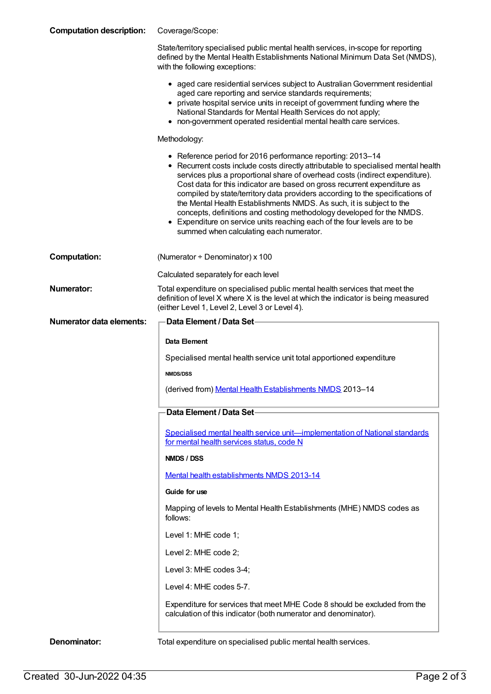| <b>Computation description:</b> | Coverage/Scope:                                                                                                                                                                                                                                                                                                                                                                                                                                                                                                                                                                                                                                                        |
|---------------------------------|------------------------------------------------------------------------------------------------------------------------------------------------------------------------------------------------------------------------------------------------------------------------------------------------------------------------------------------------------------------------------------------------------------------------------------------------------------------------------------------------------------------------------------------------------------------------------------------------------------------------------------------------------------------------|
|                                 | State/territory specialised public mental health services, in-scope for reporting<br>defined by the Mental Health Establishments National Minimum Data Set (NMDS),<br>with the following exceptions:                                                                                                                                                                                                                                                                                                                                                                                                                                                                   |
|                                 | • aged care residential services subject to Australian Government residential<br>aged care reporting and service standards requirements;<br>• private hospital service units in receipt of government funding where the<br>National Standards for Mental Health Services do not apply;<br>• non-government operated residential mental health care services.                                                                                                                                                                                                                                                                                                           |
|                                 | Methodology:                                                                                                                                                                                                                                                                                                                                                                                                                                                                                                                                                                                                                                                           |
|                                 | • Reference period for 2016 performance reporting: 2013-14<br>• Recurrent costs include costs directly attributable to specialised mental health<br>services plus a proportional share of overhead costs (indirect expenditure).<br>Cost data for this indicator are based on gross recurrent expenditure as<br>compiled by state/territory data providers according to the specifications of<br>the Mental Health Establishments NMDS. As such, it is subject to the<br>concepts, definitions and costing methodology developed for the NMDS.<br>• Expenditure on service units reaching each of the four levels are to be<br>summed when calculating each numerator. |
| <b>Computation:</b>             | (Numerator + Denominator) x 100                                                                                                                                                                                                                                                                                                                                                                                                                                                                                                                                                                                                                                        |
|                                 | Calculated separately for each level                                                                                                                                                                                                                                                                                                                                                                                                                                                                                                                                                                                                                                   |
| <b>Numerator:</b>               | Total expenditure on specialised public mental health services that meet the<br>definition of level X where X is the level at which the indicator is being measured<br>(either Level 1, Level 2, Level 3 or Level 4).                                                                                                                                                                                                                                                                                                                                                                                                                                                  |
| <b>Numerator data elements:</b> | <b>Data Element / Data Set-</b>                                                                                                                                                                                                                                                                                                                                                                                                                                                                                                                                                                                                                                        |
|                                 | Data Element                                                                                                                                                                                                                                                                                                                                                                                                                                                                                                                                                                                                                                                           |
|                                 | Specialised mental health service unit total apportioned expenditure                                                                                                                                                                                                                                                                                                                                                                                                                                                                                                                                                                                                   |
|                                 | <b>NMDS/DSS</b>                                                                                                                                                                                                                                                                                                                                                                                                                                                                                                                                                                                                                                                        |
|                                 | (derived from) Mental Health Establishments NMDS 2013-14                                                                                                                                                                                                                                                                                                                                                                                                                                                                                                                                                                                                               |
|                                 | Data Element / Data Set                                                                                                                                                                                                                                                                                                                                                                                                                                                                                                                                                                                                                                                |
|                                 | <u>Specialised mental health service unit—implementation of National standards</u><br>for mental health services status, code N                                                                                                                                                                                                                                                                                                                                                                                                                                                                                                                                        |
|                                 | NMDS / DSS                                                                                                                                                                                                                                                                                                                                                                                                                                                                                                                                                                                                                                                             |
|                                 | Mental health establishments NMDS 2013-14                                                                                                                                                                                                                                                                                                                                                                                                                                                                                                                                                                                                                              |
|                                 | Guide for use                                                                                                                                                                                                                                                                                                                                                                                                                                                                                                                                                                                                                                                          |
|                                 | Mapping of levels to Mental Health Establishments (MHE) NMDS codes as<br>follows:                                                                                                                                                                                                                                                                                                                                                                                                                                                                                                                                                                                      |
|                                 | Level 1: MHE code 1;                                                                                                                                                                                                                                                                                                                                                                                                                                                                                                                                                                                                                                                   |
|                                 | Level 2: MHE code 2;                                                                                                                                                                                                                                                                                                                                                                                                                                                                                                                                                                                                                                                   |
|                                 | Level 3: MHE codes 3-4;                                                                                                                                                                                                                                                                                                                                                                                                                                                                                                                                                                                                                                                |
|                                 | Level 4: MHE codes 5-7.                                                                                                                                                                                                                                                                                                                                                                                                                                                                                                                                                                                                                                                |
|                                 |                                                                                                                                                                                                                                                                                                                                                                                                                                                                                                                                                                                                                                                                        |
|                                 | Expenditure for services that meet MHE Code 8 should be excluded from the<br>calculation of this indicator (both numerator and denominator).                                                                                                                                                                                                                                                                                                                                                                                                                                                                                                                           |